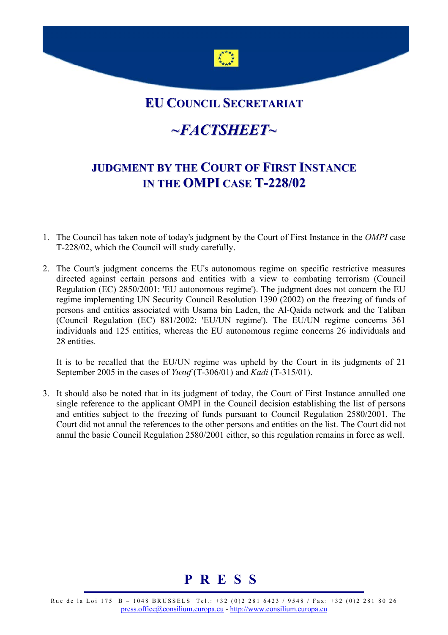

## **EU COUNCIL SECRETARIAT**

## *~FACTSHEET~*

## **JUDGMENT BY THE COURT OF FIRST INSTANCE IN THE OMPI CASE T-228/02**

- 1. The Council has taken note of today's judgment by the Court of First Instance in the *OMPI* case T-228/02, which the Council will study carefully.
- 2. The Court's judgment concerns the EU's autonomous regime on specific restrictive measures directed against certain persons and entities with a view to combating terrorism (Council Regulation (EC) 2850/2001: 'EU autonomous regime'). The judgment does not concern the EU regime implementing UN Security Council Resolution 1390 (2002) on the freezing of funds of persons and entities associated with Usama bin Laden, the Al-Qaida network and the Taliban (Council Regulation (EC) 881/2002: 'EU/UN regime'). The EU/UN regime concerns 361 individuals and 125 entities, whereas the EU autonomous regime concerns 26 individuals and 28 entities.

 It is to be recalled that the EU/UN regime was upheld by the Court in its judgments of 21 September 2005 in the cases of *Yusuf* (T-306/01) and *Kadi* (T-315/01).

3. It should also be noted that in its judgment of today, the Court of First Instance annulled one single reference to the applicant OMPI in the Council decision establishing the list of persons and entities subject to the freezing of funds pursuant to Council Regulation 2580/2001. The Court did not annul the references to the other persons and entities on the list. The Court did not annul the basic Council Regulation 2580/2001 either, so this regulation remains in force as well.